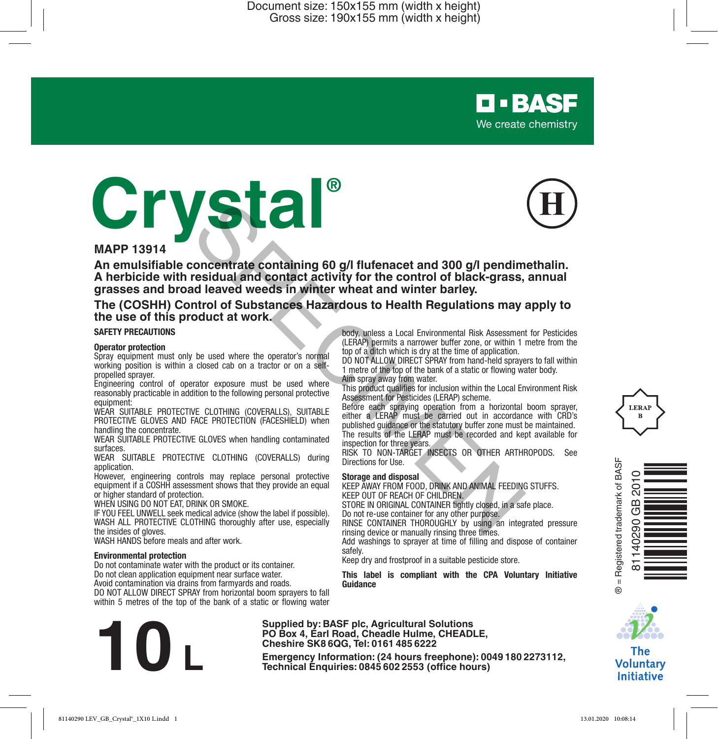

# **Crystal®**



# **MAPP 13914**

**An emulsifiable concentrate containing 60 g/l flufenacet and 300 g/l pendimethalin. A herbicide with residual and contact activity for the control of black-grass, annual grasses and broad leaved weeds in winter wheat and winter barley. Example 19 and 19 and 19 and 19 and 19 and 19 and 19 and 19 and 19 and 19 and 19 and 19 and 19 and 19 and 19 and 19 and 19 and 19 and 19 and 19 and 19 and 19 and 19 and 19 and 19 and 19 and 19 and 19 and 19 and 19 and 19** 

**The (COSHH) Control of Substances Hazardous to Health Regulations may apply to the use of this product at work.**

#### **SAFETY PRECAUTIONS**

#### **Operator protection**

Spray equipment must only be used where the operator's normal working position is within a closed cab on a tractor or on a selfpropelled sprayer.

Engineering control of operator exposure must be used where reasonably practicable in addition to the following personal protective equipment:

WEAR SUITABLE PROTECTIVE CLOTHING (COVERALLS), SUITABLE PROTECTIVE GLOVES AND FACE PROTECTION (FACESHIELD) when handling the concentrate.

WEAR SUITABLE PROTECTIVE GLOVES when handling contaminated surfaces.

WEAR SUITABLE PROTECTIVE CLOTHING (COVERALLS) during application.

However, engineering controls may replace personal protective equipment if a COSHH assessment shows that they provide an equal or higher standard of protection.

WHEN USING DO NOT EAT, DRINK OR SMOKE.

IF YOU FEEL UNWELL seek medical advice (show the label if possible). WASH ALL PROTECTIVE CLOTHING thoroughly after use, especially the insides of gloves.

WASH HANDS before meals and after work.

#### **Environmental protection**

Do not contaminate water with the product or its container. Do not clean application equipment near surface water. Avoid contamination via drains from farmyards and roads. DO NOT ALLOW DIRECT SPRAY from horizontal boom sprayers to fall

within 5 metres of the top of the bank of a static or flowing water

**Example 19:** Box 4, Earl Road, Cheadle Hulme, CHEADLE,<br>
Cheshire SK8 6QG, Tel: 0161 485 6222<br>
Emergency Information: (24 hours freephone): 0049 180 2273112,<br>
Technical Enquiries: 0845 602 2553 (office hours)

body, unless a Local Environmental Risk Assessment for Pesticides (LERAP) permits a narrower buffer zone, or within 1 metre from the top of a ditch which is dry at the time of application.

DO NOT ALLOW DIRECT SPRAY from hand-held sprayers to fall within 1 metre of the top of the bank of a static or flowing water body. Aim spray away from water.

This product qualifies for inclusion within the Local Environment Risk Assessment for Pesticides (LERAP) scheme.

Before each spraying operation from a horizontal boom sprayer, either a LERAP must be carried out in accordance with CRD's published guidance or the statutory buffer zone must be maintained. The results of the LERAP must be recorded and kept available for inspection for three years.

RISK TO NON-TARGET INSECTS OR OTHER ARTHROPODS. See Directions for Use.

#### **Storage and disposal**

**Supplied by: BASF plc, Agricultural Solutions PO Box 4, Earl Road, Cheadle Hulme, CHEADLE, Cheshire SK8 6QG, Tel: 0161 485 6222**

KEEP AWAY FROM FOOD, DRINK AND ANIMAL FEEDING STUFFS. KEEP OUT OF REACH OF CHILDREN.

STORE IN ORIGINAL CONTAINER tightly closed, in a safe place. Do not re-use container for any other purpose.

RINSE CONTAINER THOROUGHLY by using an integrated pressure rinsing device or manually rinsing three times.

Add washings to sprayer at time of filling and dispose of container safely.

Keep dry and frostproof in a suitable pesticide store.

**This label is compliant with the CPA Voluntary Initiative Guidance**





The **Voluntary Initiative**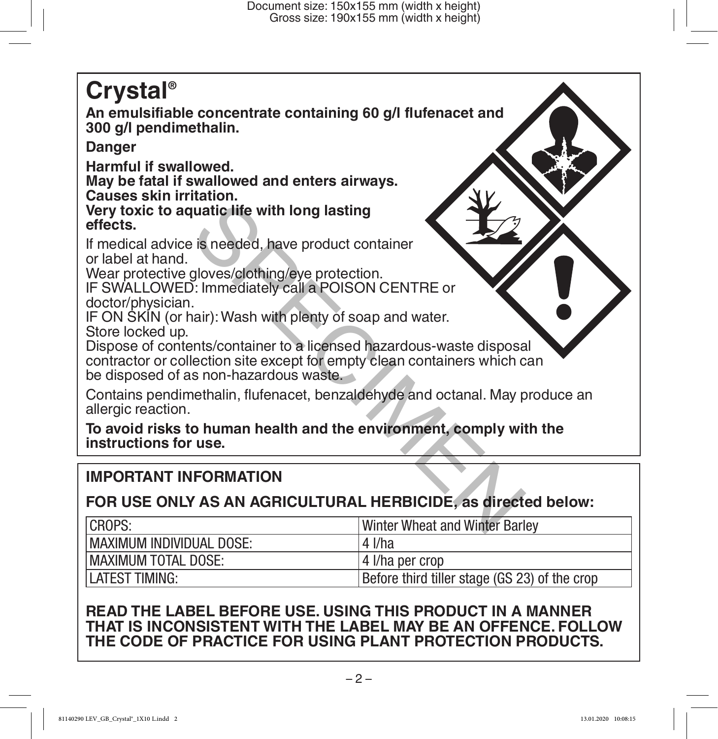# **Crystal®**

**An emulsifiable concentrate containing 60 g/l flufenacet and 300 g/l pendimethalin.**

# **Danger**

**Harmful if swallowed.**

**May be fatal if swallowed and enters airways. Causes skin irritation.**

**Very toxic to aquatic life with long lasting effects.**

If medical advice is needed, have product container or label at hand.

Wear protective gloves/clothing/eye protection.

IF SWALLOWED: Immediately call a POISON CENTRE or doctor/physician.

IF ON SKIN (or hair): Wash with plenty of soap and water. Store locked up.

Dispose of contents/container to a licensed hazardous-waste disposal contractor or collection site except for empty clean containers which can be disposed of as non-hazardous waste. watic life with long lasting<br>
is needed, have product container<br>
gloves/clothing/eye protection.<br>
.: Immediately call a POISON CENTRE or<br>
...<br>
inair): Wash with plenty of soap and water.<br>
Instance is non-hazardous waste.<br>

Contains pendimethalin, flufenacet, benzaldehyde and octanal. May produce an allergic reaction.

**To avoid risks to human health and the environment, comply with the instructions for use.**

# **IMPORTANT INFORMATION**

# **FOR USE ONLY AS AN AGRICULTURAL HERBICIDE, as directed below:**

| CROPS:                      | <b>Winter Wheat and Winter Barley</b>         |
|-----------------------------|-----------------------------------------------|
| MAXIMUM INDIVIDUAL DOSE:    | $4$ I/ha                                      |
| <b>IMAXIMUM TOTAL DOSE:</b> | l 4 I/ha per crop                             |
| <b>ILATEST TIMING:</b>      | Before third tiller stage (GS 23) of the crop |

# **READ THE LABEL BEFORE USE. USING THIS PRODUCT IN A MANNER THAT IS INCONSISTENT WITH THE LABEL MAY BE AN OFFENCE. FOLLOW THE CODE OF PRACTICE FOR USING PLANT PROTECTION PRODUCTS.**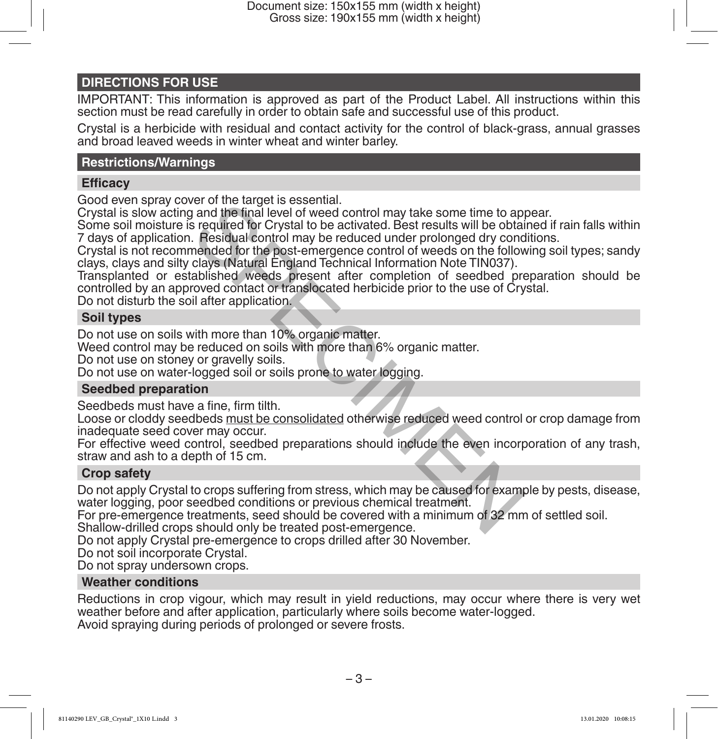#### **DIRECTIONS FOR USE**

IMPORTANT: This information is approved as part of the Product Label. All instructions within this section must be read carefully in order to obtain safe and successful use of this product.

Crystal is a herbicide with residual and contact activity for the control of black-grass, annual grasses and broad leaved weeds in winter wheat and winter barley.

#### **Restrictions/Warnings**

#### **Efficacy**

Good even spray cover of the target is essential.

Crystal is slow acting and the final level of weed control may take some time to appear.

Some soil moisture is required for Crystal to be activated. Best results will be obtained if rain falls within 7 days of application. Residual control may be reduced under prolonged dry conditions.

Crystal is not recommended for the post-emergence control of weeds on the following soil types; sandy clays, clays and silty clays (Natural England Technical Information Note TIN037).

Transplanted or established weeds present after completion of seedbed preparation should be controlled by an approved contact or translocated herbicide prior to the use of Crystal. For of the target is essential.<br>It and the final level of weed control may take some time to ap<br>is required for Crystal to be activated. Best results will be obtained<br>in readed untrol may be reduced under prolonged dry con

Do not disturb the soil after application.

#### **Soil types**

Do not use on soils with more than 10% organic matter.

Weed control may be reduced on soils with more than 6% organic matter.

Do not use on stoney or gravelly soils.

Do not use on water-logged soil or soils prone to water logging.

#### **Seedbed preparation**

Seedbeds must have a fine, firm tilth.

Loose or cloddy seedbeds must be consolidated otherwise reduced weed control or crop damage from inadequate seed cover may occur.

For effective weed control, seedbed preparations should include the even incorporation of any trash, straw and ash to a depth of 15 cm.

#### **Crop safety**

Do not apply Crystal to crops suffering from stress, which may be caused for example by pests, disease, water logging, poor seedbed conditions or previous chemical treatment.

For pre-emergence treatments, seed should be covered with a minimum of 32 mm of settled soil.

Shallow-drilled crops should only be treated post-emergence.

Do not apply Crystal pre-emergence to crops drilled after 30 November.

Do not soil incorporate Crystal.

Do not spray undersown crops.

#### **Weather conditions**

Reductions in crop vigour, which may result in yield reductions, may occur where there is very wet weather before and after application, particularly where soils become water-logged. Avoid spraying during periods of prolonged or severe frosts.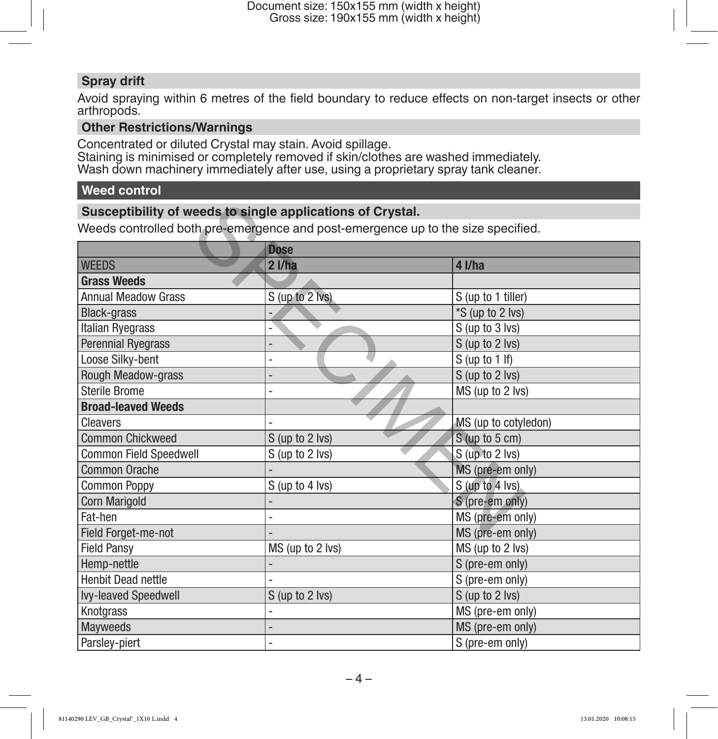# **Spray drift**

Avoid spraying within 6 metres of the field boundary to reduce effects on non-target insects or other arthropods.

#### **Other Restrictions/Warnings**

Concentrated or diluted Crystal may stain. Avoid spillage. Staining is minimised or completely removed if skin/clothes are washed immediately. Wash down machinery immediately after use, using a proprietary spray tank cleaner.

# **Weed control**

#### **Susceptibility of weeds to single applications of Crystal.**

| Susceptibility of weeds to single applications of Crystal.                       |                          |                      |  |  |
|----------------------------------------------------------------------------------|--------------------------|----------------------|--|--|
| Weeds controlled both pre-emergence and post-emergence up to the size specified. |                          |                      |  |  |
|                                                                                  | <b>Dose</b>              |                      |  |  |
| <b>WEEDS</b>                                                                     | 21/ha                    | 4 l/ha               |  |  |
| <b>Grass Weeds</b>                                                               |                          |                      |  |  |
| <b>Annual Meadow Grass</b>                                                       | S (up to 2 lvs)          | S (up to 1 tiller)   |  |  |
| <b>Black-grass</b>                                                               |                          | *S (up to 2 lvs)     |  |  |
| Italian Ryegrass                                                                 |                          | S (up to 3 lvs)      |  |  |
| <b>Perennial Ryegrass</b>                                                        |                          | S (up to 2 lvs)      |  |  |
| Loose Silky-bent                                                                 | $\overline{\phantom{0}}$ | $S$ (up to 1 If)     |  |  |
| Rough Meadow-grass                                                               |                          | S (up to 2 lvs)      |  |  |
| <b>Sterile Brome</b>                                                             |                          | MS (up to 2 lvs)     |  |  |
| <b>Broad-leaved Weeds</b>                                                        |                          |                      |  |  |
| Cleavers                                                                         |                          | MS (up to cotyledon) |  |  |
| <b>Common Chickweed</b>                                                          | S (up to 2 lvs)          | $S$ (up to 5 cm)     |  |  |
| Common Field Speedwell                                                           | S (up to 2 lvs)          | S (up to 2 lvs)      |  |  |
| Common Orache                                                                    |                          | MS (pre-em only)     |  |  |
| <b>Common Poppy</b>                                                              | S (up to 4 lvs)          | S (up to 4 lvs)      |  |  |
| Corn Marigold                                                                    |                          | S (pre-em only)      |  |  |
| Fat-hen                                                                          |                          | MS (pre-em only)     |  |  |
| Field Forget-me-not                                                              |                          | MS (pre-em only)     |  |  |
| <b>Field Pansy</b>                                                               | MS (up to 2 lvs)         | MS (up to 2 lvs)     |  |  |
| Hemp-nettle                                                                      |                          | S (pre-em only)      |  |  |
| <b>Henbit Dead nettle</b>                                                        |                          | S (pre-em only)      |  |  |
| Ivy-leaved Speedwell                                                             | S (up to 2 lvs)          | S (up to 2 lvs)      |  |  |
| Knotgrass                                                                        |                          | MS (pre-em only)     |  |  |
| Mayweeds                                                                         |                          | MS (pre-em only)     |  |  |
| Parsley-piert                                                                    |                          | S (pre-em only)      |  |  |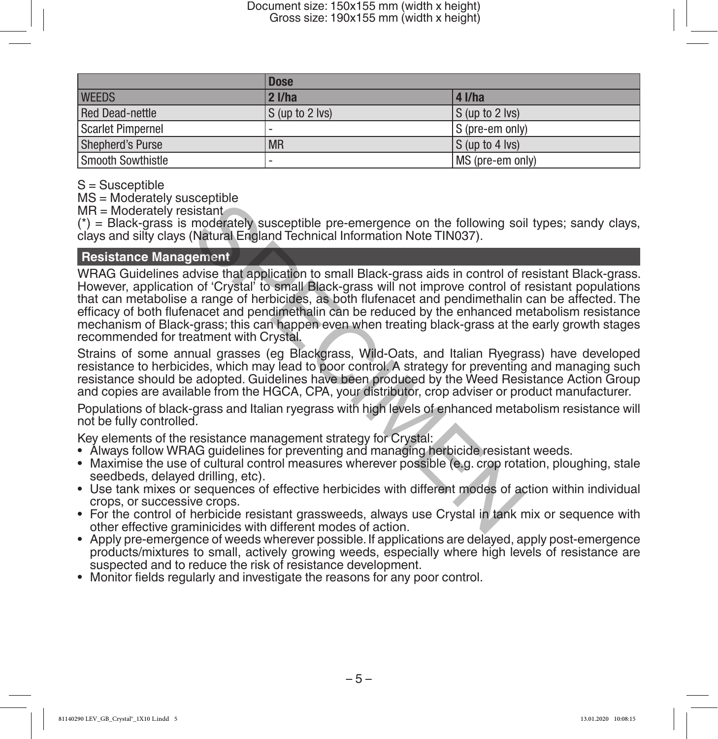|                        | <b>Dose</b>       |                                                  |
|------------------------|-------------------|--------------------------------------------------|
| <b>WEEDS</b>           | $2$ I/ha          | 4 I/ha                                           |
| <b>Red Dead-nettle</b> | $S$ (up to 2 lvs) | $ S \left( \text{up to } 2 \text{ lvs} \right) $ |
| Scarlet Pimpernel      | -                 | $ S$ (pre-em only)                               |
| Shepherd's Purse       | <b>MR</b>         | $ S \left($ up to 4 lvs $\right)$                |
| Smooth Sowthistle      |                   | MS (pre-em only)                                 |

S = Susceptible

MS = Moderately susceptible

MR = Moderately resistant

 $(*)$  = Black-grass is moderately susceptible pre-emergence on the following soil types; sandy clays, clays and silty clays (Natural England Technical Information Note TIN037).

#### **Resistance Management**

WRAG Guidelines advise that application to small Black-grass aids in control of resistant Black-grass. However, application of 'Crystal' to small Black-grass will not improve control of resistant populations that can metabolise a range of herbicides, as both flufenacet and pendimethalin can be affected. The efficacy of both flufenacet and pendimethalin can be reduced by the enhanced metabolism resistance mechanism of Black-grass; this can happen even when treating black-grass at the early growth stages recommended for treatment with Crystal. bistant<br>
istant<br>
istant<br>
moderately susceptible pre-emergence on the following soi<br>
istant<br>
moderately susceptible pre-emergence on the following soi<br>
Natural England Technical Information Note TIN037).<br>
I of 'Crystal' to

Strains of some annual grasses (eg Blackgrass, Wild-Oats, and Italian Ryegrass) have developed resistance to herbicides, which may lead to poor control. A strategy for preventing and managing such resistance should be adopted. Guidelines have been produced by the Weed Resistance Action Group and copies are available from the HGCA, CPA, your distributor, crop adviser or product manufacturer.

Populations of black-grass and Italian ryegrass with high levels of enhanced metabolism resistance will not be fully controlled.

Key elements of the resistance management strategy for Crystal:

- Always follow WRAG guidelines for preventing and managing herbicide resistant weeds.
- Maximise the use of cultural control measures wherever possible (e.g. crop rotation, ploughing, stale seedbeds, delayed drilling, etc).
- Use tank mixes or sequences of effective herbicides with different modes of action within individual crops, or successive crops.
- For the control of herbicide resistant grassweeds, always use Crystal in tank mix or sequence with other effective graminicides with different modes of action.
- Apply pre-emergence of weeds wherever possible. If applications are delayed, apply post-emergence products/mixtures to small, actively growing weeds, especially where high levels of resistance are suspected and to reduce the risk of resistance development.
- Monitor fields regularly and investigate the reasons for any poor control.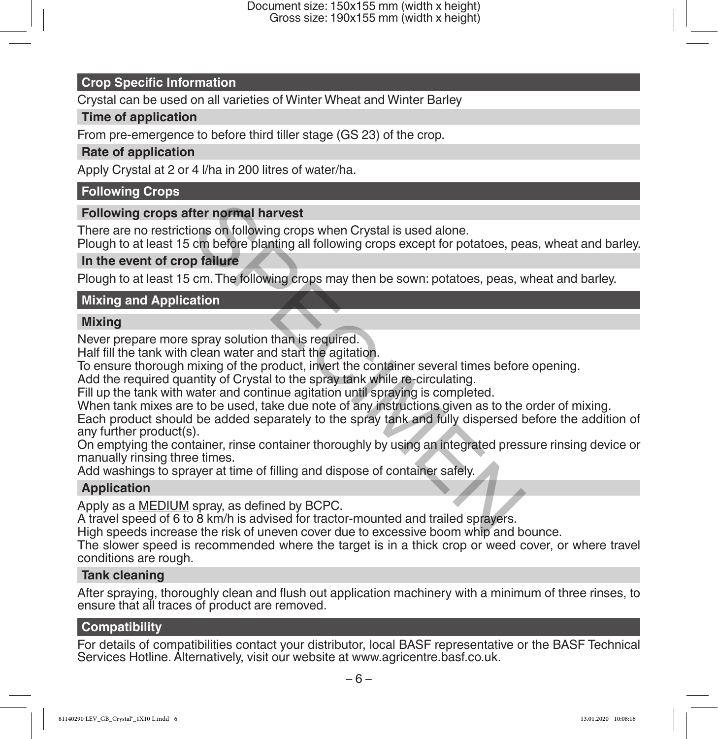#### **Crop Specific Information**

Crystal can be used on all varieties of Winter Wheat and Winter Barley

#### **Time of application**

From pre-emergence to before third tiller stage (GS 23) of the crop.

#### **Rate of application**

Apply Crystal at 2 or 4 l/ha in 200 litres of water/ha.

# **Following Crops**

# **Following crops after normal harvest**

There are no restrictions on following crops when Crystal is used alone.

Plough to at least 15 cm before planting all following crops except for potatoes, peas, wheat and barley.

#### **In the event of crop failure**

Plough to at least 15 cm. The following crops may then be sown: potatoes, peas, wheat and barley.

# **Mixing and Application**

#### **Mixing**

Never prepare more spray solution than is required.

Half fill the tank with clean water and start the agitation.

To ensure thorough mixing of the product, invert the container several times before opening.

Add the required quantity of Crystal to the spray tank while re-circulating.

Fill up the tank with water and continue agitation until spraying is completed.

When tank mixes are to be used, take due note of any instructions given as to the order of mixing.

Each product should be added separately to the spray tank and fully dispersed before the addition of any further product(s). fter normal harvest<br>cons on following crops when Crystal is used alone.<br>cm before planting all following crops except for potatoes, pe<br>p **failure**<br>cm. The following crops may then be sown: potatoes, peas, v<br>ation<br>spray sol

On emptying the container, rinse container thoroughly by using an integrated pressure rinsing device or manually rinsing three times.

Add washings to sprayer at time of filling and dispose of container safely.

# **Application**

Apply as a **MEDIUM** spray, as defined by BCPC.

A travel speed of 6 to 8 km/h is advised for tractor-mounted and trailed sprayers.

High speeds increase the risk of uneven cover due to excessive boom whip and bounce.

The slower speed is recommended where the target is in a thick crop or weed cover, or where travel conditions are rough.

#### **Tank cleaning**

After spraying, thoroughly clean and flush out application machinery with a minimum of three rinses, to ensure that all traces of product are removed.

#### **Compatibility**

For details of compatibilities contact your distributor, local BASF representative or the BASF Technical Services Hotline. Alternatively, visit our website at www.agricentre.basf.co.uk.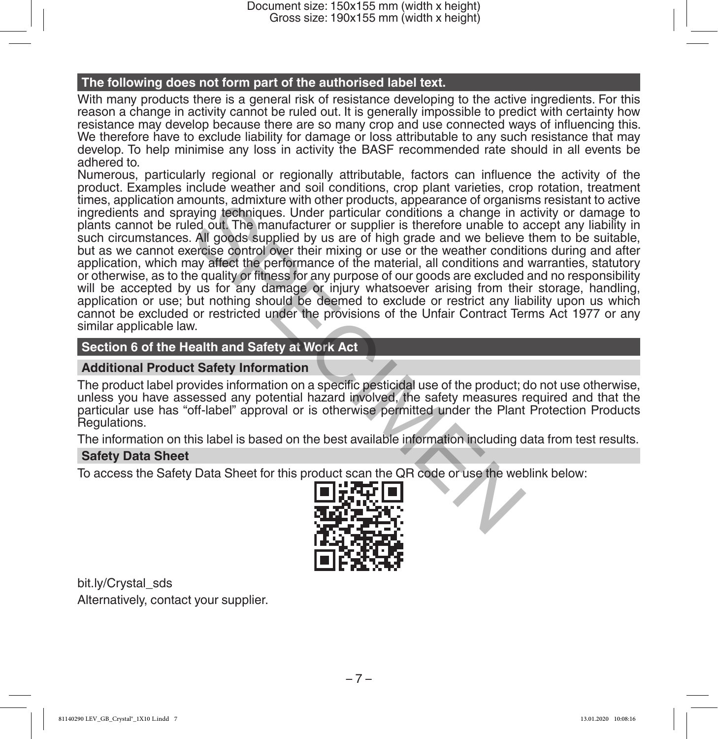#### **The following does not form part of the authorised label text.**

With many products there is a general risk of resistance developing to the active ingredients. For this reason a change in activity cannot be ruled out. It is generally impossible to predict with certainty how resistance may develop because there are so many crop and use connected ways of influencing this. We therefore have to exclude liability for damage or loss attributable to any such resistance that may develop. To help minimise any loss in activity the BASF recommended rate should in all events be adhered to.

Numerous, particularly regional or regionally attributable, factors can influence the activity of the product. Examples include weather and soil conditions, crop plant varieties, crop rotation, treatment times, application amounts, admixture with other products, appearance of organisms resistant to active ingredients and spraying techniques. Under particular conditions a change in activity or damage to plants cannot be ruled out. The manufacturer or supplier is therefore unable to accept any liability in such circumstances. All goods supplied by us are of high grade and we believe them to be suitable, but as we cannot exercise control over their mixing or use or the weather conditions during and after application, which may affect the performance of the material, all conditions and warranties, statutory or otherwise, as to the quality or fitness for any purpose of our goods are excluded and no responsibility will be accepted by us for any damage or injury whatsoever arising from their storage, handling, application or use; but nothing should be deemed to exclude or restrict any liability upon us which cannot be excluded or restricted under the provisions of the Unfair Contract Terms Act 1977 or any similar applicable law. noting, admixture with other protoucts, appearance of togaristic sumptions a change in a dout. The manufacturer or supplier is therefore unable to a All goods supplied by us are of high grade and we believe energies contro

#### **Section 6 of the Health and Safety at Work Act**

#### **Additional Product Safety Information**

The product label provides information on a specific pesticidal use of the product; do not use otherwise, unless you have assessed any potential hazard involved, the safety measures required and that the particular use has "off-label" approval or is otherwise permitted under the Plant Protection Products Regulations.

The information on this label is based on the best available information including data from test results.

#### **Safety Data Sheet**

To access the Safety Data Sheet for this product scan the QR code or use the weblink below:



bit.ly/Crystal\_sds Alternatively, contact your supplier.